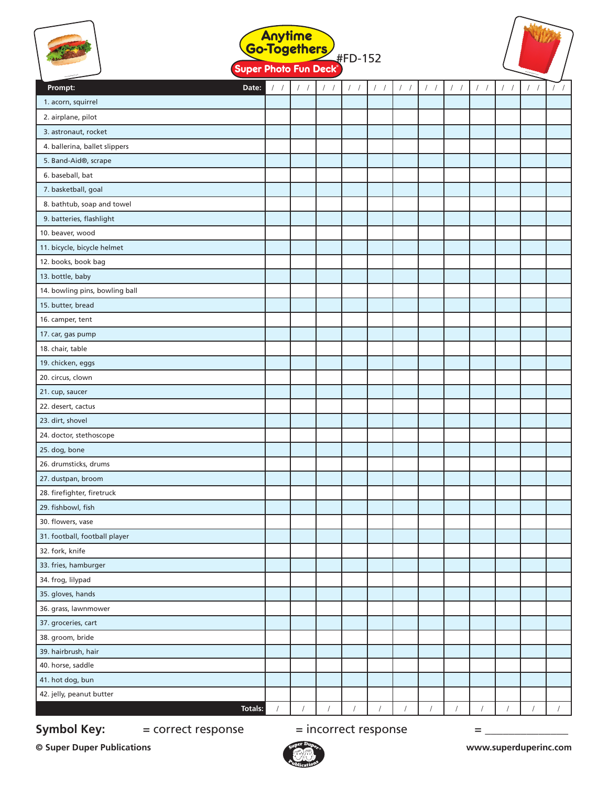|                                | Anytime<br>Go-Togethers<br>#FD-152<br>Super Photo Fun Deck <sup>®</sup> |            |                   |                      |                  |                |               |               |                   |               |  |  |
|--------------------------------|-------------------------------------------------------------------------|------------|-------------------|----------------------|------------------|----------------|---------------|---------------|-------------------|---------------|--|--|
| Prompt:<br>Date:               | $\left  \right $                                                        | $/$ /      | $\prime$ $\prime$ | $\left  \right $     | $\left  \right $ | $\frac{1}{2}$  | $\frac{1}{2}$ | $\frac{1}{2}$ | $\prime$ $\prime$ | $\frac{1}{2}$ |  |  |
| 1. acorn, squirrel             |                                                                         |            |                   |                      |                  |                |               |               |                   |               |  |  |
| 2. airplane, pilot             |                                                                         |            |                   |                      |                  |                |               |               |                   |               |  |  |
| 3. astronaut, rocket           |                                                                         |            |                   |                      |                  |                |               |               |                   |               |  |  |
| 4. ballerina, ballet slippers  |                                                                         |            |                   |                      |                  |                |               |               |                   |               |  |  |
| 5. Band-Aid®, scrape           |                                                                         |            |                   |                      |                  |                |               |               |                   |               |  |  |
| 6. baseball, bat               |                                                                         |            |                   |                      |                  |                |               |               |                   |               |  |  |
| 7. basketball, goal            |                                                                         |            |                   |                      |                  |                |               |               |                   |               |  |  |
| 8. bathtub, soap and towel     |                                                                         |            |                   |                      |                  |                |               |               |                   |               |  |  |
| 9. batteries, flashlight       |                                                                         |            |                   |                      |                  |                |               |               |                   |               |  |  |
| 10. beaver, wood               |                                                                         |            |                   |                      |                  |                |               |               |                   |               |  |  |
| 11. bicycle, bicycle helmet    |                                                                         |            |                   |                      |                  |                |               |               |                   |               |  |  |
| 12. books, book bag            |                                                                         |            |                   |                      |                  |                |               |               |                   |               |  |  |
| 13. bottle, baby               |                                                                         |            |                   |                      |                  |                |               |               |                   |               |  |  |
| 14. bowling pins, bowling ball |                                                                         |            |                   |                      |                  |                |               |               |                   |               |  |  |
| 15. butter, bread              |                                                                         |            |                   |                      |                  |                |               |               |                   |               |  |  |
| 16. camper, tent               |                                                                         |            |                   |                      |                  |                |               |               |                   |               |  |  |
| 17. car, gas pump              |                                                                         |            |                   |                      |                  |                |               |               |                   |               |  |  |
| 18. chair, table               |                                                                         |            |                   |                      |                  |                |               |               |                   |               |  |  |
| 19. chicken, eggs              |                                                                         |            |                   |                      |                  |                |               |               |                   |               |  |  |
| 20. circus, clown              |                                                                         |            |                   |                      |                  |                |               |               |                   |               |  |  |
| 21. cup, saucer                |                                                                         |            |                   |                      |                  |                |               |               |                   |               |  |  |
| 22. desert, cactus             |                                                                         |            |                   |                      |                  |                |               |               |                   |               |  |  |
| 23. dirt, shovel               |                                                                         |            |                   |                      |                  |                |               |               |                   |               |  |  |
| 24. doctor, stethoscope        |                                                                         |            |                   |                      |                  |                |               |               |                   |               |  |  |
| 25. dog, bone                  |                                                                         |            |                   |                      |                  |                |               |               |                   |               |  |  |
| 26. drumsticks, drums          |                                                                         |            |                   |                      |                  |                |               |               |                   |               |  |  |
| 27. dustpan, broom             |                                                                         |            |                   |                      |                  |                |               |               |                   |               |  |  |
| 28. firefighter, firetruck     |                                                                         |            |                   |                      |                  |                |               |               |                   |               |  |  |
| 29. fishbowl, fish             |                                                                         |            |                   |                      |                  |                |               |               |                   |               |  |  |
| 30. flowers, vase              |                                                                         |            |                   |                      |                  |                |               |               |                   |               |  |  |
| 31. football, football player  |                                                                         |            |                   |                      |                  |                |               |               |                   |               |  |  |
| 32. fork, knife                |                                                                         |            |                   |                      |                  |                |               |               |                   |               |  |  |
| 33. fries, hamburger           |                                                                         |            |                   |                      |                  |                |               |               |                   |               |  |  |
| 34. frog, lilypad              |                                                                         |            |                   |                      |                  |                |               |               |                   |               |  |  |
| 35. gloves, hands              |                                                                         |            |                   |                      |                  |                |               |               |                   |               |  |  |
| 36. grass, lawnmower           |                                                                         |            |                   |                      |                  |                |               |               |                   |               |  |  |
| 37. groceries, cart            |                                                                         |            |                   |                      |                  |                |               |               |                   |               |  |  |
| 38. groom, bride               |                                                                         |            |                   |                      |                  |                |               |               |                   |               |  |  |
| 39. hairbrush, hair            |                                                                         |            |                   |                      |                  |                |               |               |                   |               |  |  |
| 40. horse, saddle              |                                                                         |            |                   |                      |                  |                |               |               |                   |               |  |  |
| 41. hot dog, bun               |                                                                         |            |                   |                      |                  |                |               |               |                   |               |  |  |
| 42. jelly, peanut butter       |                                                                         |            |                   |                      |                  |                |               |               |                   |               |  |  |
| Totals:                        | $\sqrt{ }$                                                              | $\sqrt{ }$ | $\sqrt{2}$        | $\frac{1}{\sqrt{2}}$ | $\sqrt{2}$       | $\overline{1}$ | $\sqrt{2}$    | $\sqrt{ }$    | $\sqrt{2}$        | $\sqrt{ }$    |  |  |

**Symbol Key:**  $=$  correct response  $=$  incorrect response  $=$  \_\_\_\_\_\_\_\_\_\_\_\_\_\_\_\_\_\_\_\_

**© Super Duper Publications www.superduperinc.com**

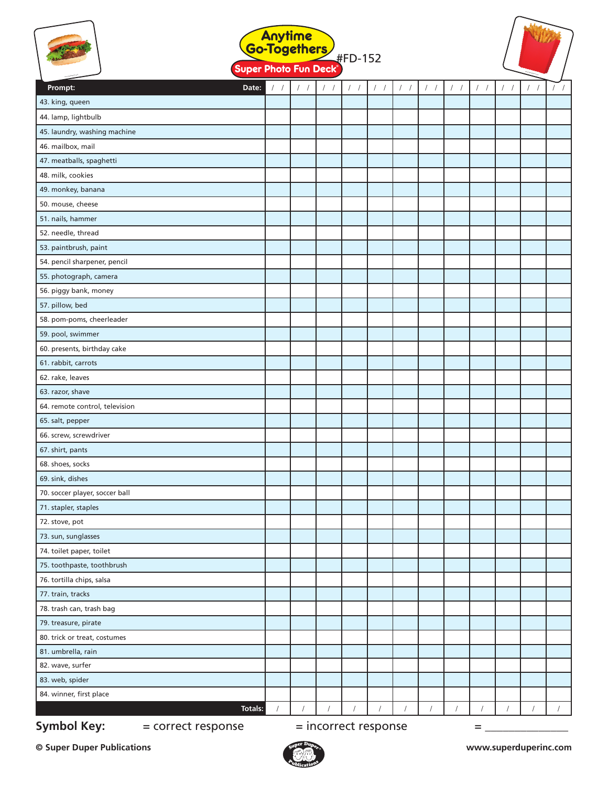|                                | Anytime<br>Go-Togethers<br>#FD-152<br>Super Photo Fun Deck® |            |       |       |       |                        |                  |                        |                  |                        |            |            |  |
|--------------------------------|-------------------------------------------------------------|------------|-------|-------|-------|------------------------|------------------|------------------------|------------------|------------------------|------------|------------|--|
| Date:<br>Prompt:               | 1/                                                          | $/$ $/$    | $/$ / | $/$ / | $/$ / | $\left  \quad \right $ | $\left  \right $ | $\left  \quad \right $ | $\left  \right $ | $\left  \quad \right $ |            |            |  |
| 43. king, queen                |                                                             |            |       |       |       |                        |                  |                        |                  |                        |            |            |  |
| 44. lamp, lightbulb            |                                                             |            |       |       |       |                        |                  |                        |                  |                        |            |            |  |
| 45. laundry, washing machine   |                                                             |            |       |       |       |                        |                  |                        |                  |                        |            |            |  |
| 46. mailbox, mail              |                                                             |            |       |       |       |                        |                  |                        |                  |                        |            |            |  |
| 47. meatballs, spaghetti       |                                                             |            |       |       |       |                        |                  |                        |                  |                        |            |            |  |
| 48. milk, cookies              |                                                             |            |       |       |       |                        |                  |                        |                  |                        |            |            |  |
| 49. monkey, banana             |                                                             |            |       |       |       |                        |                  |                        |                  |                        |            |            |  |
| 50. mouse, cheese              |                                                             |            |       |       |       |                        |                  |                        |                  |                        |            |            |  |
| 51. nails, hammer              |                                                             |            |       |       |       |                        |                  |                        |                  |                        |            |            |  |
| 52. needle, thread             |                                                             |            |       |       |       |                        |                  |                        |                  |                        |            |            |  |
| 53. paintbrush, paint          |                                                             |            |       |       |       |                        |                  |                        |                  |                        |            |            |  |
| 54. pencil sharpener, pencil   |                                                             |            |       |       |       |                        |                  |                        |                  |                        |            |            |  |
| 55. photograph, camera         |                                                             |            |       |       |       |                        |                  |                        |                  |                        |            |            |  |
| 56. piggy bank, money          |                                                             |            |       |       |       |                        |                  |                        |                  |                        |            |            |  |
| 57. pillow, bed                |                                                             |            |       |       |       |                        |                  |                        |                  |                        |            |            |  |
| 58. pom-poms, cheerleader      |                                                             |            |       |       |       |                        |                  |                        |                  |                        |            |            |  |
| 59. pool, swimmer              |                                                             |            |       |       |       |                        |                  |                        |                  |                        |            |            |  |
| 60. presents, birthday cake    |                                                             |            |       |       |       |                        |                  |                        |                  |                        |            |            |  |
| 61. rabbit, carrots            |                                                             |            |       |       |       |                        |                  |                        |                  |                        |            |            |  |
| 62. rake, leaves               |                                                             |            |       |       |       |                        |                  |                        |                  |                        |            |            |  |
| 63. razor, shave               |                                                             |            |       |       |       |                        |                  |                        |                  |                        |            |            |  |
| 64. remote control, television |                                                             |            |       |       |       |                        |                  |                        |                  |                        |            |            |  |
| 65. salt, pepper               |                                                             |            |       |       |       |                        |                  |                        |                  |                        |            |            |  |
| 66. screw, screwdriver         |                                                             |            |       |       |       |                        |                  |                        |                  |                        |            |            |  |
| 67. shirt, pants               |                                                             |            |       |       |       |                        |                  |                        |                  |                        |            |            |  |
| 68. shoes, socks               |                                                             |            |       |       |       |                        |                  |                        |                  |                        |            |            |  |
| 69. sink, dishes               |                                                             |            |       |       |       |                        |                  |                        |                  |                        |            |            |  |
| 70. soccer player, soccer ball |                                                             |            |       |       |       |                        |                  |                        |                  |                        |            |            |  |
| 71. stapler, staples           |                                                             |            |       |       |       |                        |                  |                        |                  |                        |            |            |  |
| 72. stove, pot                 |                                                             |            |       |       |       |                        |                  |                        |                  |                        |            |            |  |
| 73. sun, sunglasses            |                                                             |            |       |       |       |                        |                  |                        |                  |                        |            |            |  |
| 74. toilet paper, toilet       |                                                             |            |       |       |       |                        |                  |                        |                  |                        |            |            |  |
| 75. toothpaste, toothbrush     |                                                             |            |       |       |       |                        |                  |                        |                  |                        |            |            |  |
| 76. tortilla chips, salsa      |                                                             |            |       |       |       |                        |                  |                        |                  |                        |            |            |  |
| 77. train, tracks              |                                                             |            |       |       |       |                        |                  |                        |                  |                        |            |            |  |
| 78. trash can, trash bag       |                                                             |            |       |       |       |                        |                  |                        |                  |                        |            |            |  |
| 79. treasure, pirate           |                                                             |            |       |       |       |                        |                  |                        |                  |                        |            |            |  |
| 80. trick or treat, costumes   |                                                             |            |       |       |       |                        |                  |                        |                  |                        |            |            |  |
| 81. umbrella, rain             |                                                             |            |       |       |       |                        |                  |                        |                  |                        |            |            |  |
| 82. wave, surfer               |                                                             |            |       |       |       |                        |                  |                        |                  |                        |            |            |  |
| 83. web, spider                |                                                             |            |       |       |       |                        |                  |                        |                  |                        |            |            |  |
| 84. winner, first place        |                                                             |            |       |       |       |                        |                  |                        |                  |                        |            |            |  |
| Totals:                        |                                                             | $\sqrt{ }$ |       |       |       |                        |                  | $\sqrt{ }$             |                  | $\sqrt{2}$             | $\sqrt{2}$ | $\sqrt{2}$ |  |

**Symbol Key:**  $=$  correct response  $=$  incorrect response  $=$  \_\_\_\_\_\_\_\_\_\_\_\_\_\_\_\_\_\_\_\_

**© Super Duper Publications www.superduperinc.com**